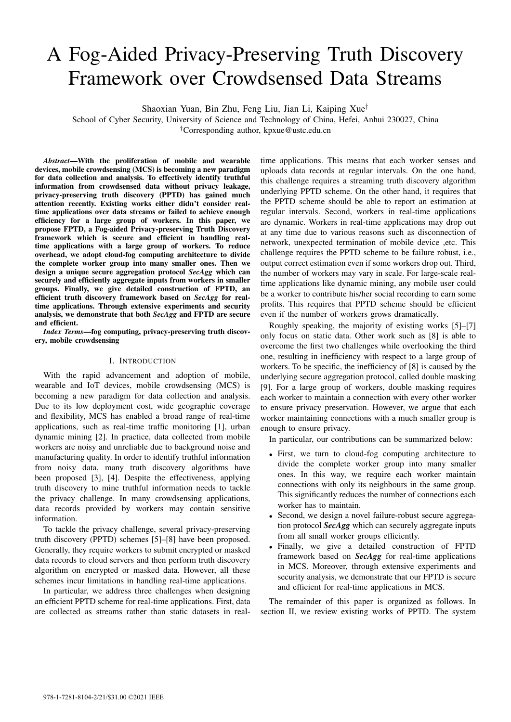# A Fog-Aided Privacy-Preserving Truth Discovery Framework over Crowdsensed Data Streams

Shaoxian Yuan, Bin Zhu, Feng Liu, Jian Li, Kaiping Xue†

School of Cyber Security, University of Science and Technology of China, Hefei, Anhui 230027, China †Corresponding author, kpxue@ustc.edu.cn

*Abstract*—With the proliferation of mobile and wearable devices, mobile crowdsensing (MCS) is becoming a new paradigm for data collection and analysis. To effectively identify truthful information from crowdsensed data without privacy leakage, privacy-preserving truth discovery (PPTD) has gained much attention recently. Existing works either didn't consider realtime applications over data streams or failed to achieve enough efficiency for a large group of workers. In this paper, we propose FPTD, a Fog-aided Privacy-preserving Truth Discovery framework which is secure and efficient in handling realtime applications with a large group of workers. To reduce overhead, we adopt cloud-fog computing architecture to divide the complete worker group into many smaller ones. Then we design a unique secure aggregation protocol *SecAgg* which can securely and efficiently aggregate inputs from workers in smaller groups. Finally, we give detailed construction of FPTD, an efficient truth discovery framework based on *SecAgg* for realtime applications. Through extensive experiments and security analysis, we demonstrate that both *SecAgg* and FPTD are secure and efficient.

*Index Terms*—fog computing, privacy-preserving truth discovery, mobile crowdsensing

## I. INTRODUCTION

With the rapid advancement and adoption of mobile, wearable and IoT devices, mobile crowdsensing (MCS) is becoming a new paradigm for data collection and analysis. Due to its low deployment cost, wide geographic coverage and flexibility, MCS has enabled a broad range of real-time applications, such as real-time traffic monitoring [1], urban dynamic mining [2]. In practice, data collected from mobile workers are noisy and unreliable due to background noise and manufacturing quality. In order to identify truthful information from noisy data, many truth discovery algorithms have been proposed [3], [4]. Despite the effectiveness, applying truth discovery to mine truthful information needs to tackle the privacy challenge. In many crowdsensing applications, data records provided by workers may contain sensitive information.

To tackle the privacy challenge, several privacy-preserving truth discovery (PPTD) schemes [5]–[8] have been proposed. Generally, they require workers to submit encrypted or masked data records to cloud servers and then perform truth discovery algorithm on encrypted or masked data. However, all these schemes incur limitations in handling real-time applications.

In particular, we address three challenges when designing an efficient PPTD scheme for real-time applications. First, data are collected as streams rather than static datasets in real-

time applications. This means that each worker senses and uploads data records at regular intervals. On the one hand, this challenge requires a streaming truth discovery algorithm underlying PPTD scheme. On the other hand, it requires that the PPTD scheme should be able to report an estimation at regular intervals. Second, workers in real-time applications are dynamic. Workers in real-time applications may drop out at any time due to various reasons such as disconnection of network, unexpected termination of mobile device ,etc. This challenge requires the PPTD scheme to be failure robust, i.e., output correct estimation even if some workers drop out. Third, the number of workers may vary in scale. For large-scale realtime applications like dynamic mining, any mobile user could be a worker to contribute his/her social recording to earn some profits. This requires that PPTD scheme should be efficient even if the number of workers grows dramatically.

Roughly speaking, the majority of existing works [5]–[7] only focus on static data. Other work such as [8] is able to overcome the first two challenges while overlooking the third one, resulting in inefficiency with respect to a large group of workers. To be specific, the inefficiency of [8] is caused by the underlying secure aggregation protocol, called double masking [9]. For a large group of workers, double masking requires each worker to maintain a connection with every other worker to ensure privacy preservation. However, we argue that each worker maintaining connections with a much smaller group is enough to ensure privacy.

In particular, our contributions can be summarized below:

- First, we turn to cloud-fog computing architecture to divide the complete worker group into many smaller ones. In this way, we require each worker maintain connections with only its neighbours in the same group. This significantly reduces the number of connections each worker has to maintain.
- Second, we design a novel failure-robust secure aggregation protocol *SecAgg* which can securely aggregate inputs from all small worker groups efficiently.
- Finally, we give a detailed construction of FPTD framework based on *SecAgg* for real-time applications in MCS. Moreover, through extensive experiments and security analysis, we demonstrate that our FPTD is secure and efficient for real-time applications in MCS.

The remainder of this paper is organized as follows. In section II, we review existing works of PPTD. The system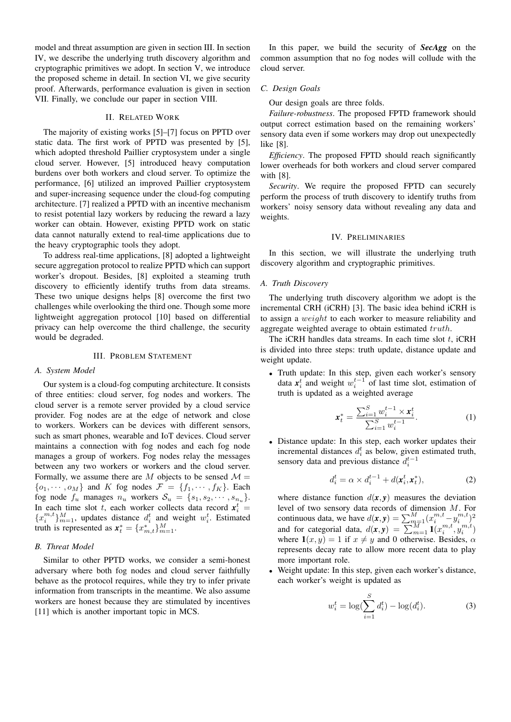model and threat assumption are given in section III. In section IV, we describe the underlying truth discovery algorithm and cryptographic primitives we adopt. In section V, we introduce the proposed scheme in detail. In section VI, we give security proof. Afterwards, performance evaluation is given in section VII. Finally, we conclude our paper in section VIII.

## II. RELATED WORK

The majority of existing works [5]–[7] focus on PPTD over static data. The first work of PPTD was presented by [5], which adopted threshold Paillier cryptosystem under a single cloud server. However, [5] introduced heavy computation burdens over both workers and cloud server. To optimize the performance, [6] utilized an improved Paillier cryptosystem and super-increasing sequence under the cloud-fog computing architecture. [7] realized a PPTD with an incentive mechanism to resist potential lazy workers by reducing the reward a lazy worker can obtain. However, existing PPTD work on static data cannot naturally extend to real-time applications due to the heavy cryptographic tools they adopt.

To address real-time applications, [8] adopted a lightweight secure aggregation protocol to realize PPTD which can support worker's dropout. Besides, [8] exploited a steaming truth discovery to efficiently identify truths from data streams. These two unique designs helps [8] overcome the first two challenges while overlooking the third one. Though some more lightweight aggregation protocol [10] based on differential privacy can help overcome the third challenge, the security would be degraded.

### III. PROBLEM STATEMENT

## *A. System Model*

Our system is a cloud-fog computing architecture. It consists of three entities: cloud server, fog nodes and workers. The cloud server is a remote server provided by a cloud service provider. Fog nodes are at the edge of network and close to workers. Workers can be devices with different sensors, such as smart phones, wearable and IoT devices. Cloud server maintains a connection with fog nodes and each fog node manages a group of workers. Fog nodes relay the messages between any two workers or workers and the cloud server. Formally, we assume there are M objects to be sensed  $\mathcal{M} =$  $\{o_1, \dots, o_M\}$  and K fog nodes  $\mathcal{F} = \{f_1, \dots, f_K\}$ . Each fog node  $f_u$  manages  $n_u$  workers  $\mathcal{S}_u = \{s_1, s_2, \dots, s_{n_u}\}.$ In each time slot t, each worker collects data record  $x_i^t$  ${x_i^{m,t}}_{m=1}^M$ , updates distance  $d_i^t$  and weight  $w_i^t$ . Estimated truth is represented as  $x_t^* = \{x_{m,t}^*\}_{m=1}^M$ .

## *B. Threat Model*

Similar to other PPTD works, we consider a semi-honest adversary where both fog nodes and cloud server faithfully behave as the protocol requires, while they try to infer private information from transcripts in the meantime. We also assume workers are honest because they are stimulated by incentives [11] which is another important topic in MCS.

In this paper, we build the security of *SecAgg* on the common assumption that no fog nodes will collude with the cloud server.

# *C. Design Goals*

Our design goals are three folds.

*Failure-robustness*. The proposed FPTD framework should output correct estimation based on the remaining workers' sensory data even if some workers may drop out unexpectedly like [8].

*Efficiency*. The proposed FPTD should reach significantly lower overheads for both workers and cloud server compared with [8].

*Security*. We require the proposed FPTD can securely perform the process of truth discovery to identify truths from workers' noisy sensory data without revealing any data and weights.

#### IV. PRELIMINARIES

In this section, we will illustrate the underlying truth discovery algorithm and cryptographic primitives.

#### *A. Truth Discovery*

The underlying truth discovery algorithm we adopt is the incremental CRH (iCRH) [3]. The basic idea behind iCRH is to assign a weight to each worker to measure reliability and aggregate weighted average to obtain estimated truth.

The iCRH handles data streams. In each time slot  $t$ , iCRH is divided into three steps: truth update, distance update and weight update.

• Truth update: In this step, given each worker's sensory data  $x_i^t$  and weight  $w_i^{t-1}$  of last time slot, estimation of truth is updated as a weighted average

$$
\mathbf{x}_{t}^{*} = \frac{\sum_{i=1}^{S} w_{i}^{t-1} \times \mathbf{x}_{i}^{t}}{\sum_{i=1}^{S} w_{i}^{t-1}}.
$$
 (1)

Distance update: In this step, each worker updates their incremental distances  $d_i^t$  as below, given estimated truth, sensory data and previous distance  $d_i^{t-1}$ 

$$
d_i^t = \alpha \times d_i^{t-1} + d(\mathbf{x}_i^t, \mathbf{x}_i^*),\tag{2}
$$

where distance function  $d(x, y)$  measures the deviation level of two sensory data records of dimension M. For continuous data, we have  $d(\mathbf{x}, \mathbf{y}) = \sum_{m=1}^{M} (x_i^{m,t} - y_i^{m,t})^2$ and for categorial data,  $d(\mathbf{x}, \mathbf{y}) = \sum_{m=1}^{M} \mathbf{1}(x_i^{m,t}, y_i^{m,t})$ where  $\mathbf{1}(x, y) = 1$  if  $x \neq y$  and 0 otherwise. Besides,  $\alpha$ represents decay rate to allow more recent data to play more important role.

• Weight update: In this step, given each worker's distance, each worker's weight is updated as

$$
w_i^t = \log(\sum_{i=1}^S d_i^t) - \log(d_i^t).
$$
 (3)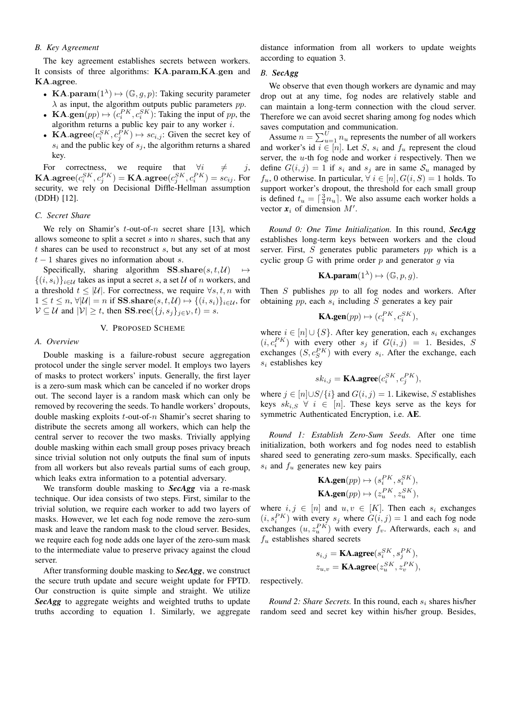## *B. Key Agreement*

The key agreement establishes secrets between workers. It consists of three algorithms: KA.param,KA.gen and KA.agree.

- KA.param $(1^{\lambda}) \mapsto (\mathbb{G}, g, p)$ : Taking security parameter  $\lambda$  as input, the algorithm outputs public parameters pp.
- **KA.gen** $(pp) \mapsto (c_i^{PK}, c_i^{SK})$ : Taking the input of pp, the algorithm returns a public key pair to any worker i.
- KA.agree $(c_i^{SK}, c_j^{PK}) \mapsto \mathit{sc}_{i,j}$ : Given the secret key of  $s_i$  and the public key of  $s_j$ , the algorithm returns a shared key.

For correctness, we require that  $\forall i \neq j$ ,  $\mathbf{KA}.\mathbf{agree}(c^{SK}_i,c^{PK}_j) = \mathbf{KA}.\mathbf{agree}(c^{SK}_j,c^{PK}_i) = sc_{ij}.$  For security, we rely on Decisional Diffle-Hellman assumption (DDH) [12].

## *C. Secret Share*

We rely on Shamir's  $t$ -out-of- $n$  secret share [13], which allows someone to split a secret  $s$  into  $n$  shares, such that any t shares can be used to reconstruct s, but any set of at most  $t - 1$  shares gives no information about s.

Specifically, sharing algorithm SS.share $(s, t, \mathcal{U}) \rightarrow$  $\{(i, s_i)\}_{i \in \mathcal{U}}$  takes as input a secret s, a set U of n workers, and a threshold  $t \leq |\mathcal{U}|$ . For correctness, we require  $\forall s, t, n$  with  $1 \leq t \leq n$ ,  $\forall |\mathcal{U}| = n$  if SS.share $(s, t, \mathcal{U}) \mapsto \{(i, s_i)\}_{i \in \mathcal{U}}$ , for  $V \subseteq \mathcal{U}$  and  $|V| \geq t$ , then **SS**.rec( $\{j, s_j\}_{j \in \mathcal{V}}, t$ ) = s.

## V. PROPOSED SCHEME

## *A. Overview*

Double masking is a failure-robust secure aggregation protocol under the single server model. It employs two layers of masks to protect workers' inputs. Generally, the first layer is a zero-sum mask which can be canceled if no worker drops out. The second layer is a random mask which can only be removed by recovering the seeds. To handle workers' dropouts, double masking exploits  $t$ -out-of- $n$  Shamir's secret sharing to distribute the secrets among all workers, which can help the central server to recover the two masks. Trivially applying double masking within each small group poses privacy breach since trivial solution not only outputs the final sum of inputs from all workers but also reveals partial sums of each group, which leaks extra information to a potential adversary.

We transform double masking to *SecAgg* via a re-mask technique. Our idea consists of two steps. First, similar to the trivial solution, we require each worker to add two layers of masks. However, we let each fog node remove the zero-sum mask and leave the random mask to the cloud server. Besides, we require each fog node adds one layer of the zero-sum mask to the intermediate value to preserve privacy against the cloud server.

After transforming double masking to *SecAgg*, we construct the secure truth update and secure weight update for FPTD. Our construction is quite simple and straight. We utilize *SecAgg* to aggregate weights and weighted truths to update truths according to equation 1. Similarly, we aggregate

distance information from all workers to update weights according to equation 3.

# *B. SecAgg*

We observe that even though workers are dynamic and may drop out at any time, fog nodes are relatively stable and can maintain a long-term connection with the cloud server. Therefore we can avoid secret sharing among fog nodes which saves computation and communication.

Assume  $n = \sum_{u=1}^{U} n_u$  represents the number of all workers and worker's id  $i \in [n]$ . Let S,  $s_i$  and  $f_u$  represent the cloud server, the  $u$ -th fog node and worker  $i$  respectively. Then we define  $G(i, j) = 1$  if  $s_i$  and  $s_j$  are in same  $S_u$  managed by  $f_u$ , 0 otherwise. In particular,  $\forall i \in [n], G(i, S) = 1$  holds. To support worker's dropout, the threshold for each small group is defined  $t_u = \lceil \frac{3}{4} n_u \rceil$ . We also assume each worker holds a vector  $x_i$  of dimension  $M'$ .

*Round 0: One Time Initialization.* In this round, *SecAgg* establishes long-term keys between workers and the cloud server. First, S generates public parameters pp which is a cyclic group  $\mathbb G$  with prime order p and generator q via

$$
\mathbf{KA}.\mathbf{param}(1^{\lambda}) \mapsto (\mathbb{G}, p, g).
$$

Then  $S$  publishes  $pp$  to all fog nodes and workers. After obtaining  $pp$ , each  $s_i$  including  $S$  generates a key pair

$$
\mathbf{K} \mathbf{A}.\mathbf{gen}(pp) \mapsto (c_i^{PK}, c_i^{SK}),
$$

where  $i \in [n] \cup \{S\}$ . After key generation, each  $s_i$  exchanges  $(i, c_i^{PK})$  with every other  $s_j$  if  $G(i, j) = 1$ . Besides, S exchanges  $(S, c_S^{PK})$  with every  $s_i$ . After the exchange, each  $s_i$  establishes key

$$
sk_{i,j} = \textbf{KA}.\textbf{agree}(c_i^{SK}, c_j^{PK}),
$$

where  $j \in [n] \cup S/{i}$  and  $G(i, j) = 1$ . Likewise, S establishes keys  $sk_{i,S}$   $\forall i \in [n]$ . These keys serve as the keys for symmetric Authenticated Encryption, i.e. AE.

*Round 1: Establish Zero-Sum Seeds.* After one time initialization, both workers and fog nodes need to establish shared seed to generating zero-sum masks. Specifically, each  $s_i$  and  $f_u$  generates new key pairs

$$
\begin{aligned} \mathbf{K} \mathbf{A}.\mathbf{gen}(pp) &\mapsto (s_i^{PK}, s_i^{SK}), \\ \mathbf{K} \mathbf{A}.\mathbf{gen}(pp) &\mapsto (z_u^{PK}, z_u^{SK}), \end{aligned}
$$

where  $i, j \in [n]$  and  $u, v \in [K]$ . Then each  $s_i$  exchanges  $(i, s_i^{PK})$  with every  $s_j$  where  $G(i, j) = 1$  and each fog node exchanges  $(u, z_n^{PK})$  with every  $f_v$ . Afterwards, each  $s_i$  and  $f_u$  establishes shared secrets

$$
\begin{aligned} s_{i,j} &= \textbf{KA}.\textbf{agree}(s^{SK}_i, s^{PK}_j), \\ z_{u,v} &= \textbf{KA}.\textbf{agree}(z^{SK}_u, z^{PK}_v), \end{aligned}
$$

respectively.

*Round 2: Share Secrets.* In this round, each  $s_i$  shares his/her random seed and secret key within his/her group. Besides,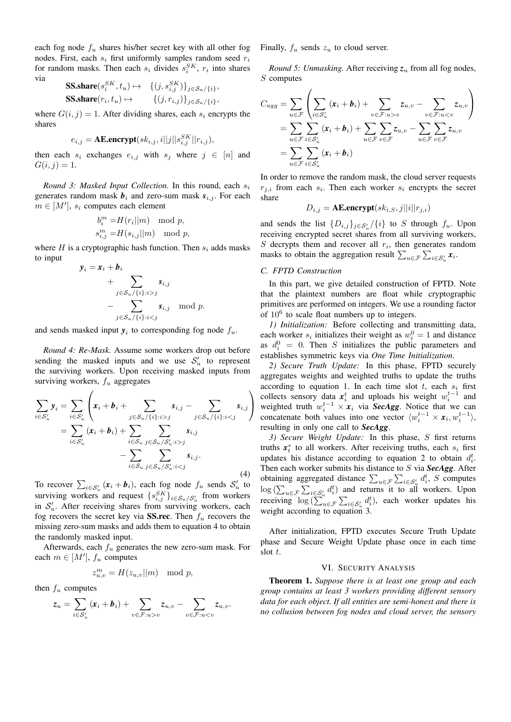each fog node  $f_u$  shares his/her secret key with all other fog nodes. First, each  $s_i$  first uniformly samples random seed  $r_i$ for random masks. Then each  $s_i$  divides  $s_i^{SK}$ ,  $r_i$  into shares via

$$
\begin{aligned} \mathbf{SS}.\mathbf{share}(s_i^{SK}, t_u) &\mapsto &\quad \{ (j, s_{i,j}^{SK}) \}_{j \in \mathcal{S}_u / \{i\}}, \\ \mathbf{SS}.\mathbf{share}(r_i, t_u) &\mapsto &\quad \{ (j, r_{i,j}) \}_{j \in \mathcal{S}_u / \{i\}}, \end{aligned}
$$

where  $G(i, j) = 1$ . After dividing shares, each  $s_i$  encrypts the shares

$$
e_{i,j} = \textbf{AE.}\text{encrypt}(sk_{i,j}, i||j||s_{i,j}^{SK}||r_{i,j}),
$$

then each  $s_i$  exchanges  $e_{i,j}$  with  $s_j$  where  $j \in [n]$  and  $G(i, j) = 1.$ 

*Round 3: Masked Input Collection.* In this round, each  $s_i$ generates random mask  $b_i$  and zero-sum mask  $s_{i,j}$ . For each  $m \in [M']$ ,  $s_i$  computes each element

$$
b_i^m = H(r_i||m) \mod p,
$$
  

$$
s_{i,j}^m = H(s_{i,j}||m) \mod p,
$$

where H is a cryptographic hash function. Then  $s_i$  adds masks to input

$$
\mathbf{y}_i = \mathbf{x}_i + \mathbf{b}_i
$$
  
+ 
$$
\sum_{j \in S_u / \{i\} : i > j} s_{i,j}
$$
  
- 
$$
\sum_{j \in S_u / \{i\} : i < j} s_{i,j} \mod p.
$$

and sends masked input  $y_i$  to corresponding fog node  $f_u$ .

*Round 4: Re-Mask.* Assume some workers drop out before sending the masked inputs and we use  $S'_u$  to represent the surviving workers. Upon receiving masked inputs from surviving workers,  $f_u$  aggregates

$$
\sum_{i \in S'_u} y_i = \sum_{i \in S'_u} \left( x_i + b_i + \sum_{j \in S_u / \{i\} : i > j} s_{i,j} - \sum_{j \in S_u / \{i\} : i < j} s_{i,j} \right) \n= \sum_{i \in S'_u} (x_i + b_i) + \sum_{i \in S_u} \sum_{j \in S_u / S'_u : i > j} s_{i,j} \n- \sum_{i \in S_u} \sum_{j \in S_u / S'_u : i < j} s_{i,j}.
$$
\n(4)

To recover  $\sum_{i \in S'_u} (\mathbf{x}_i + \mathbf{b}_i)$ , each fog node  $f_u$  sends  $S'_u$  to surviving workers and request  $\{s_{i,j}^{SK}\}_{i \in S_u/S_u}$  from workers in  $S'_u$ . After receiving shares from surviving workers, each fog recovers the secret key via **SS.rec**. Then  $f_u$  recovers the missing zero-sum masks and adds them to equation 4 to obtain the randomly masked input.

Afterwards, each  $f_u$  generates the new zero-sum mask. For each  $m \in [M']$ ,  $f_u$  computes

$$
z_{u,v}^m = H(z_{u,v}||m) \mod p,
$$

then  $f_u$  computes

$$
z_u = \sum_{i \in \mathcal{S}'_u} (x_i + b_i) + \sum_{v \in \mathcal{F}: u > v} z_{u,v} - \sum_{v \in \mathcal{F}: u < v} z_{u,v}.
$$

Finally,  $f_u$  sends  $z_u$  to cloud server.

*Round 5: Unmasking.* After receiving  $z_u$  from all fog nodes, S computes

$$
C_{agg} = \sum_{u \in \mathcal{F}} \left( \sum_{i \in S'_u} (x_i + b_i) + \sum_{v \in \mathcal{F}:u > v} z_{u,v} - \sum_{v \in \mathcal{F}:u < v} z_{u,v} \right)
$$
  
= 
$$
\sum_{u \in \mathcal{F}} \sum_{i \in S'_u} (x_i + b_i) + \sum_{u \in \mathcal{F}} \sum_{v \in \mathcal{F}} z_{u,v} - \sum_{u \in \mathcal{F}} \sum_{v \in \mathcal{F}} z_{u,v}
$$
  
= 
$$
\sum_{u \in \mathcal{F}} \sum_{i \in S'_u} (x_i + b_i)
$$

In order to remove the random mask, the cloud server requests  $r_{j,i}$  from each  $s_i$ . Then each worker  $s_i$  encrypts the secret share

$$
D_{i,j} = \text{AE.}\text{encrypt}(sk_{i,S}, j||i||r_{j,i})
$$

and sends the list  $\{D_{i,j}\}_{j \in S'_u}/\{i\}$  to S through  $f_u$ . Upon receiving encrypted secret shares from all surviving workers,  $S$  decrypts them and recover all  $r_i$ , then generates random masks to obtain the aggregation result  $\sum_{u \in \mathcal{F}} \sum_{i \in \mathcal{S}'_u} x_i$ .

## *C. FPTD Construction*

In this part, we give detailed construction of FPTD. Note that the plaintext numbers are float while cryptographic primitives are performed on integers. We use a rounding factor of  $10^6$  to scale float numbers up to integers.

*1) Initialization:* Before collecting and transmitting data, each worker  $s_i$  initializes their weight as  $w_i^0 = 1$  and distance as  $d_i^0 = 0$ . Then S initializes the public parameters and establishes symmetric keys via *One Time Initialization*.

*2) Secure Truth Update:* In this phase, FPTD securely aggregates weights and weighted truths to update the truths according to equation 1. In each time slot  $t$ , each  $s_i$  first collects sensory data  $x_i^t$  and uploads his weight  $w_i^{t-1}$  and weighted truth  $w_i^{t-1} \times \mathbf{x}_i$  via *SecAgg*. Notice that we can concatenate both values into one vector  $\langle w_i^{t-1} \times x_i, w_i^{t-1} \rangle$ , resulting in only one call to *SecAgg*.

*3) Secure Weight Update:* In this phase, S first returns truths  $x_t^*$  to all workers. After receiving truths, each  $s_i$  first updates his distance according to equation 2 to obtain  $d_i^t$ . Then each worker submits his distance to S via *SecAgg*. After obtaining aggregated distance  $\sum_{u \in \mathcal{F}} \sum_{i \in \mathcal{S}'_u} d_i^t$ , S computes  $\log \left( \sum_{u \in \mathcal{F}} \sum_{i \in \mathcal{S}'_u} d_i^t \right)$  and returns it to all workers. Upon receiving  $\log \left( \sum_{u \in \mathcal{F}}^{\infty} \sum_{i \in \mathcal{S}'_u} d_i^t \right)$ , each worker updates his weight according to equation 3.

After initialization, FPTD executes Secure Truth Update phase and Secure Weight Update phase once in each time slot t.

## VI. SECURITY ANALYSIS

Theorem 1. *Suppose there is at least one group and each group contains at least 3 workers providing different sensory data for each object. If all entities are semi-honest and there is no collusion between fog nodes and cloud server, the sensory*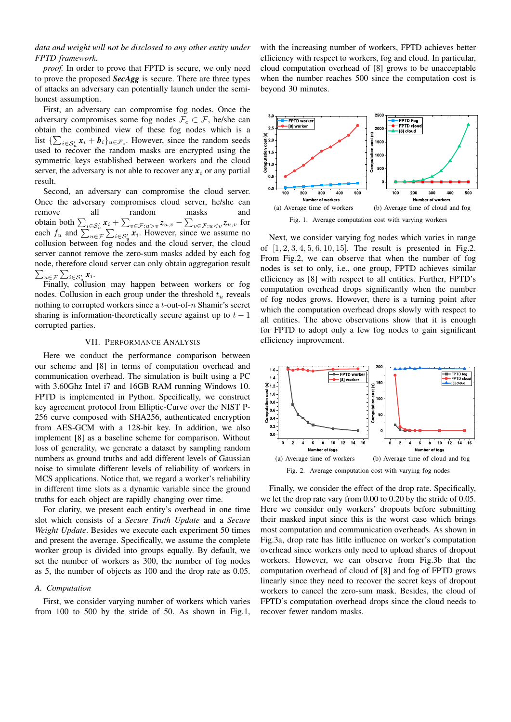*data and weight will not be disclosed to any other entity under FPTD framework.*

*proof.* In order to prove that FPTD is secure, we only need to prove the proposed *SecAgg* is secure. There are three types of attacks an adversary can potentially launch under the semihonest assumption.

First, an adversary can compromise fog nodes. Once the adversary compromises some fog nodes  $\mathcal{F}_c \subset \mathcal{F}$ , he/she can obtain the combined view of these fog nodes which is a list  $\{\sum_{i \in S'_u} x_i + b_i\}_{u \in \mathcal{F}_c}$ . However, since the random seeds used to recover the random masks are encrypted using the symmetric keys established between workers and the cloud server, the adversary is not able to recover any  $x_i$  or any partial result.

Second, an adversary can compromise the cloud server. Once the adversary compromises cloud server, he/she can remove all random masks and obtain both  $\sum_{i \in S'_u} x_i + \sum_{v \in \mathcal{F}:u>v} z_{u,v} - \sum_{v \in \mathcal{F}:u for$ each  $f_u$  and  $\sum_{u \in \mathcal{F}} \sum_{i \in \mathcal{S}'_u} x_i$ . However, since we assume no collusion between fog nodes and the cloud server, the cloud server cannot remove the zero-sum masks added by each fog node, therefore cloud server can only obtain aggregation result  $\sum_{\bm{u}\in\mathcal{F}}\sum_{i\in\mathcal{S}'_{\bm{u}}}\bm{x}_i.$ 

Finally, collusion may happen between workers or fog nodes. Collusion in each group under the threshold  $t<sub>u</sub>$  reveals nothing to corrupted workers since a  $t$ -out-of- $n$  Shamir's secret sharing is information-theoretically secure against up to  $t - 1$ corrupted parties.

# VII. PERFORMANCE ANALYSIS

Here we conduct the performance comparison between our scheme and [8] in terms of computation overhead and communication overhead. The simulation is built using a PC with 3.60Ghz Intel i7 and 16GB RAM running Windows 10. FPTD is implemented in Python. Specifically, we construct key agreement protocol from Elliptic-Curve over the NIST P-256 curve composed with SHA256, authenticated encryption from AES-GCM with a 128-bit key. In addition, we also implement [8] as a baseline scheme for comparison. Without loss of generality, we generate a dataset by sampling random numbers as ground truths and add different levels of Gaussian noise to simulate different levels of reliability of workers in MCS applications. Notice that, we regard a worker's reliability in different time slots as a dynamic variable since the ground truths for each object are rapidly changing over time.

For clarity, we present each entity's overhead in one time slot which consists of a *Secure Truth Update* and a *Secure Weight Update*. Besides we execute each experiment 50 times and present the average. Specifically, we assume the complete worker group is divided into groups equally. By default, we set the number of workers as 300, the number of fog nodes as 5, the number of objects as 100 and the drop rate as 0.05.

### *A. Computation*

First, we consider varying number of workers which varies from 100 to 500 by the stride of 50. As shown in Fig.1,

with the increasing number of workers, FPTD achieves better efficiency with respect to workers, fog and cloud. In particular, cloud computation overhead of [8] grows to be unacceptable when the number reaches 500 since the computation cost is beyond 30 minutes.



Next, we consider varying fog nodes which varies in range of  $[1, 2, 3, 4, 5, 6, 10, 15]$ . The result is presented in Fig.2. From Fig.2, we can observe that when the number of fog nodes is set to only, i.e., one group, FPTD achieves similar efficiency as [8] with respect to all entities. Further, FPTD's computation overhead drops significantly when the number of fog nodes grows. However, there is a turning point after which the computation overhead drops slowly with respect to all entities. The above observations show that it is enough for FPTD to adopt only a few fog nodes to gain significant efficiency improvement.



Finally, we consider the effect of the drop rate. Specifically, we let the drop rate vary from 0.00 to 0.20 by the stride of 0.05. Here we consider only workers' dropouts before submitting their masked input since this is the worst case which brings most computation and communication overheads. As shown in Fig.3a, drop rate has little influence on worker's computation overhead since workers only need to upload shares of dropout workers. However, we can observe from Fig.3b that the computation overhead of cloud of [8] and fog of FPTD grows linearly since they need to recover the secret keys of dropout workers to cancel the zero-sum mask. Besides, the cloud of FPTD's computation overhead drops since the cloud needs to recover fewer random masks.